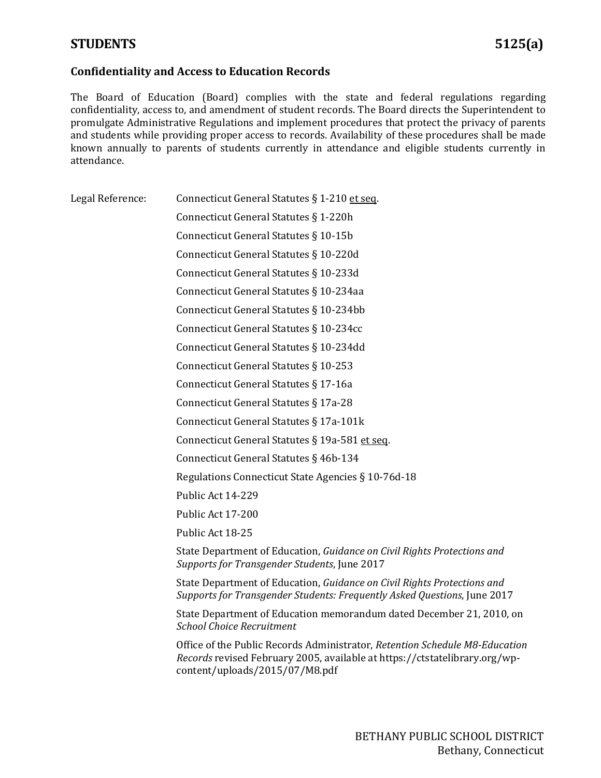## **Confidentiality and Access to Education Records**

The Board of Education (Board) complies with the state and federal regulations regarding confidentiality, access to, and amendment of student records. The Board directs the Superintendent to promulgate Administrative Regulations and implement procedures that protect the privacy of parents and students while providing proper access to records. Availability of these procedures shall be made known annually to parents of students currently in attendance and eligible students currently in attendance.

| Legal Reference: | Connecticut General Statutes § 1-210 et seq.                                                                                                                                                |
|------------------|---------------------------------------------------------------------------------------------------------------------------------------------------------------------------------------------|
|                  | Connecticut General Statutes § 1-220h                                                                                                                                                       |
|                  | Connecticut General Statutes § 10-15b                                                                                                                                                       |
|                  | Connecticut General Statutes § 10-220d                                                                                                                                                      |
|                  | Connecticut General Statutes § 10-233d                                                                                                                                                      |
|                  | Connecticut General Statutes § 10-234aa                                                                                                                                                     |
|                  | Connecticut General Statutes § 10-234bb                                                                                                                                                     |
|                  | Connecticut General Statutes § 10-234cc                                                                                                                                                     |
|                  | Connecticut General Statutes § 10-234dd                                                                                                                                                     |
|                  | Connecticut General Statutes § 10-253                                                                                                                                                       |
|                  | Connecticut General Statutes § 17-16a                                                                                                                                                       |
|                  | Connecticut General Statutes § 17a-28                                                                                                                                                       |
|                  | Connecticut General Statutes § 17a-101k                                                                                                                                                     |
|                  | Connecticut General Statutes § 19a-581 et seq.                                                                                                                                              |
|                  | Connecticut General Statutes § 46b-134                                                                                                                                                      |
|                  | Regulations Connecticut State Agencies § 10-76d-18                                                                                                                                          |
|                  | Public Act 14-229                                                                                                                                                                           |
|                  | Public Act 17-200                                                                                                                                                                           |
|                  | Public Act 18-25                                                                                                                                                                            |
|                  | State Department of Education, Guidance on Civil Rights Protections and<br>Supports for Transgender Students, June 2017                                                                     |
|                  | State Department of Education, Guidance on Civil Rights Protections and<br>Supports for Transgender Students: Frequently Asked Questions, June 2017                                         |
|                  | State Department of Education memorandum dated December 21, 2010, on<br><b>School Choice Recruitment</b>                                                                                    |
|                  | Office of the Public Records Administrator, Retention Schedule M8-Education<br>Records revised February 2005, available at https://ctstatelibrary.org/wp-<br>content/uploads/2015/07/M8.pdf |